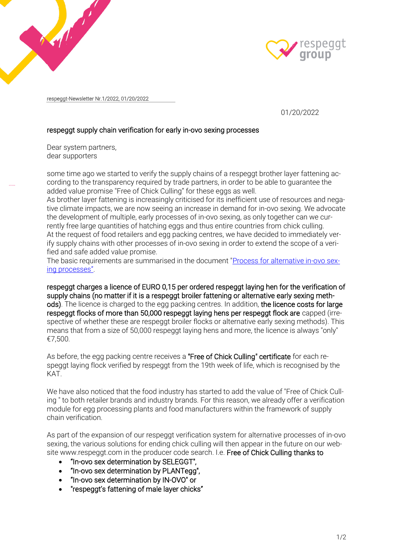



respeggt-Newsletter Nr.1/2022, 01/20/2022

01/20/2022

## respeggt supply chain verification for early in-ovo sexing processes

Dear system partners, dear supporters

some time ago we started to verify the supply chains of a respeggt brother layer fattening according to the transparency required by trade partners, in order to be able to guarantee the added value promise "Free of Chick Culling" for these eggs as well.

As brother layer fattening is increasingly criticised for its inefficient use of resources and negative climate impacts, we are now seeing an increase in demand for in-ovo sexing. We advocate the development of multiple, early processes of in-ovo sexing, as only together can we currently free large quantities of hatching eggs and thus entire countries from chick culling. At the request of food retailers and egg packing centres, we have decided to immediately verify supply chains with other processes of in-ovo sexing in order to extend the scope of a verified and safe added value promise.

The basic requirements are summarised in the document ["Process for alternative in-ovo sex](https://www.respeggt-group.com/en/#Downloads)[ing processes](https://www.respeggt-group.com/en/#Downloads)".

respeggt charges a licence of EURO 0,15 per ordered respeggt laying hen for the verification of supply chains (no matter if it is a respeggt broiler fattening or alternative early sexing methods). The licence is charged to the egg packing centres. In addition, the licence costs for large respeggt flocks of more than 50,000 respeggt laying hens per respeggt flock are capped (irrespective of whether these are respeggt broiler flocks or alternative early sexing methods). This means that from a size of 50,000 respeggt laying hens and more, the licence is always "only" €7,500.

As before, the egg packing centre receives a "Free of Chick Culling" certificate for each respeggt laying flock verified by respeggt from the 19th week of life, which is recognised by the KAT.

We have also noticed that the food industry has started to add the value of "Free of Chick Culling " to both retailer brands and industry brands. For this reason, we already offer a verification module for egg processing plants and food manufacturers within the framework of supply chain verification.

As part of the expansion of our respeggt verification system for alternative processes of in-ovo sexing, the various solutions for ending chick culling will then appear in the future on our website www.respeggt.com in the producer code search. I.e. Free of Chick Culling thanks to

- "In-ovo sex determination by SELEGGT",
- "In-ovo sex determination by PLANTegg",
- "In-ovo sex determination by IN-OVO" or
- "respeggt's fattening of male layer chicks"